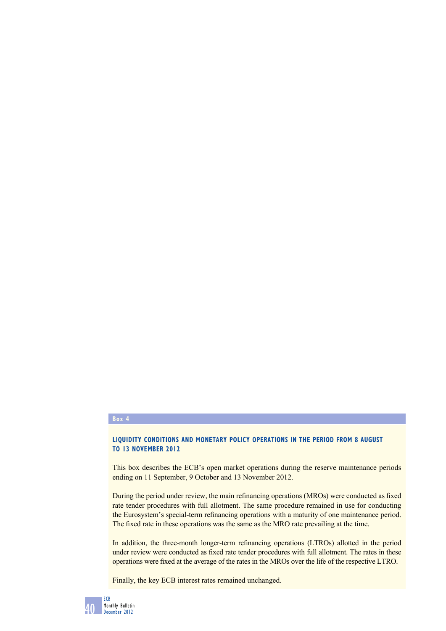#### **box 4**

## **LIQUIDITY CONDITIONS AND MONETARY POLICY OPERATIONS IN THE PERIOD FROM 8 AUGUST to 13 noVember 2012**

This box describes the ECB's open market operations during the reserve maintenance periods ending on 11 September, 9 October and 13 November 2012.

During the period under review, the main refinancing operations (MROs) were conducted as fixed rate tender procedures with full allotment. The same procedure remained in use for conducting the Eurosystem's special-term refinancing operations with a maturity of one maintenance period. The fixed rate in these operations was the same as the MRO rate prevailing at the time.

In addition, the three-month longer-term refinancing operations (LTROs) allotted in the period under review were conducted as fixed rate tender procedures with full allotment. The rates in these operations were fixed at the average of the rates in the MROs over the life of the respective LTRO.

Finally, the key ECB interest rates remained unchanged.

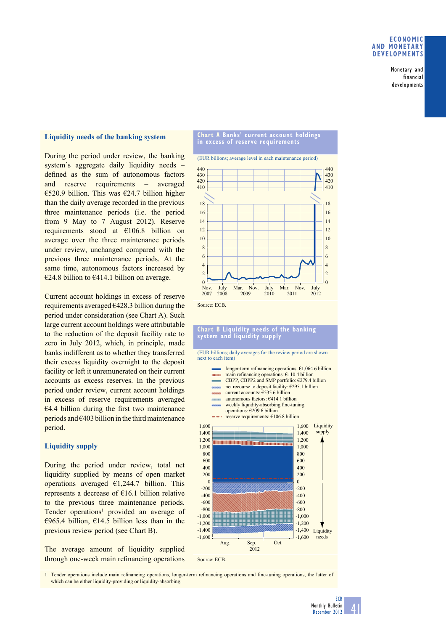### **economic anD monetary DeVeloPmentS**

Monetary and financial developments

## **Liquidity needs of the banking system**

During the period under review, the banking system's aggregate daily liquidity needs – defined as the sum of autonomous factors and reserve requirements – averaged €520.9 billion. This was €24.7 billion higher than the daily average recorded in the previous three maintenance periods (i.e. the period from 9 May to 7 August 2012). Reserve requirements stood at €106.8 billion on average over the three maintenance periods under review, unchanged compared with the previous three maintenance periods. At the same time, autonomous factors increased by €24.8 billion to €414.1 billion on average.

Current account holdings in excess of reserve requirements averaged €428.3 billion during the period under consideration (see Chart A). Such large current account holdings were attributable to the reduction of the deposit facility rate to zero in July 2012, which, in principle, made banks indifferent as to whether they transferred their excess liquidity overnight to the deposit facility or left it unremunerated on their current accounts as excess reserves. In the previous period under review, current account holdings in excess of reserve requirements averaged  $€4.4$  billion during the first two maintenance periods and  $\epsilon$ 403 billion in the third maintenance period.

# **Liquidity supply**

During the period under review, total net liquidity supplied by means of open market operations averaged  $\epsilon$ 1,244.7 billion. This represents a decrease of €16.1 billion relative to the previous three maintenance periods. Tender operations<sup>1</sup> provided an average of €965.4 billion, €14.5 billion less than in the previous review period (see Chart B).

The average amount of liquidity supplied through one-week main refinancing operations



#### **chart b liquidity needs of the banking system and liquidity supply**

(EUR billions; daily averages for the review period are shown next to each item)

- main refinancing operations: €110.4 billion longer-term refinancing operations: €1,064.6 billion
- mono CBPP, CBPP2 and SMP portfolio: €279.4 billion
- net recourse to deposit facility: €295.1 billion
- current accounts: €535.6 billion
- autonomous factors: €414.1 billion
- weekly liquidity-absorbing fine-tuning
- operations: €209.6 billion reserve requirements: €106.8 billion



1 Tender operations include main refinancing operations, longer-term refinancing operations and fine-tuning operations, the latter of which can be either liquidity-providing or liquidity-absorbing.